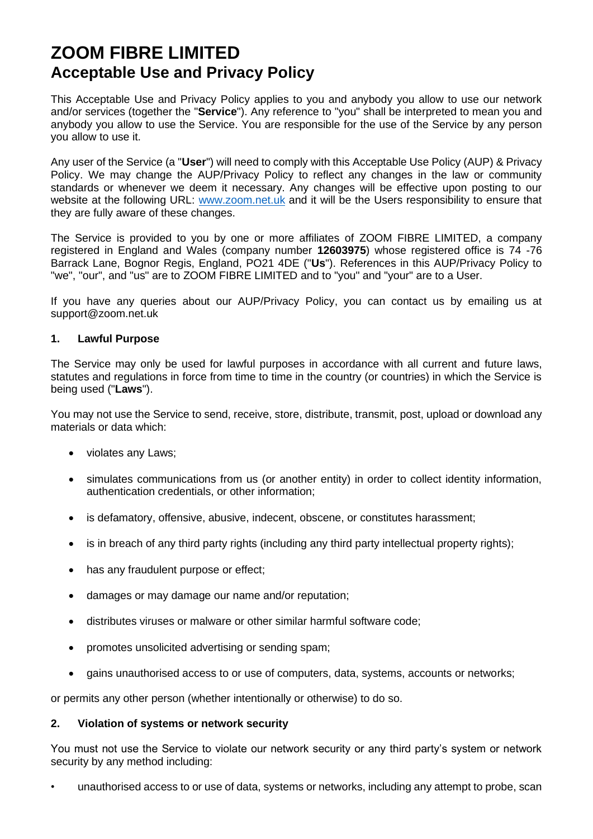# **ZOOM FIBRE LIMITED Acceptable Use and Privacy Policy**

This Acceptable Use and Privacy Policy applies to you and anybody you allow to use our network and/or services (together the "**Service**"). Any reference to "you" shall be interpreted to mean you and anybody you allow to use the Service. You are responsible for the use of the Service by any person you allow to use it.

Any user of the Service (a "**User**") will need to comply with this Acceptable Use Policy (AUP) & Privacy Policy. We may change the AUP/Privacy Policy to reflect any changes in the law or community standards or whenever we deem it necessary. Any changes will be effective upon posting to our website at the following URL: [www.zoom.net.uk](http://www.zoom.net.uk/) and it will be the Users responsibility to ensure that they are fully aware of these changes.

The Service is provided to you by one or more affiliates of ZOOM FIBRE LIMITED, a company registered in England and Wales (company number **12603975**) whose registered office is 74 -76 Barrack Lane, Bognor Regis, England, PO21 4DE ("**Us**"). References in this AUP/Privacy Policy to "we", "our", and "us" are to ZOOM FIBRE LIMITED and to "you" and "your" are to a User.

If you have any queries about our AUP/Privacy Policy, you can contact us by emailing us at support@zoom.net.uk

#### **1. Lawful Purpose**

The Service may only be used for lawful purposes in accordance with all current and future laws, statutes and regulations in force from time to time in the country (or countries) in which the Service is being used ("**Laws**").

You may not use the Service to send, receive, store, distribute, transmit, post, upload or download any materials or data which:

- violates any Laws;
- simulates communications from us (or another entity) in order to collect identity information, authentication credentials, or other information;
- is defamatory, offensive, abusive, indecent, obscene, or constitutes harassment;
- is in breach of any third party rights (including any third party intellectual property rights);
- has any fraudulent purpose or effect;
- damages or may damage our name and/or reputation;
- distributes viruses or malware or other similar harmful software code;
- promotes unsolicited advertising or sending spam;
- gains unauthorised access to or use of computers, data, systems, accounts or networks;

or permits any other person (whether intentionally or otherwise) to do so.

#### **2. Violation of systems or network security**

You must not use the Service to violate our network security or any third party's system or network security by any method including:

• unauthorised access to or use of data, systems or networks, including any attempt to probe, scan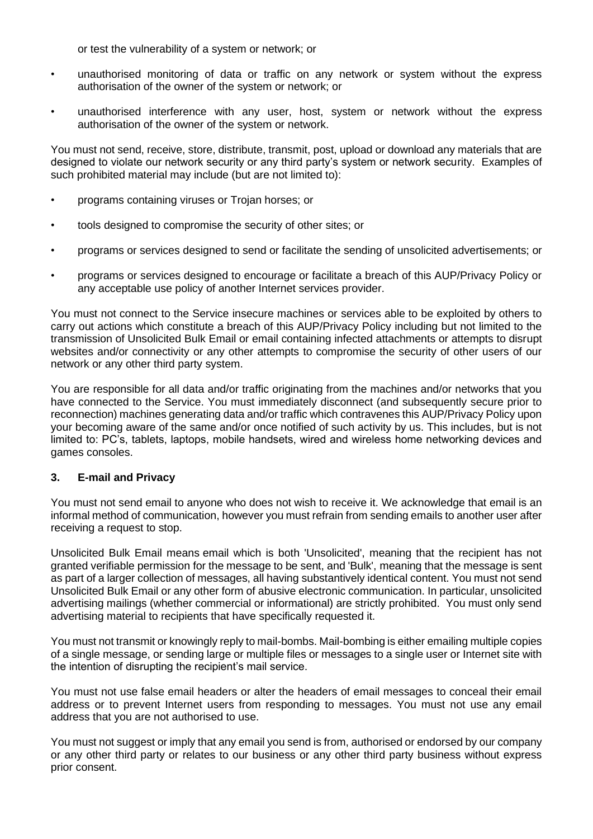or test the vulnerability of a system or network; or

- unauthorised monitoring of data or traffic on any network or system without the express authorisation of the owner of the system or network; or
- unauthorised interference with any user, host, system or network without the express authorisation of the owner of the system or network.

You must not send, receive, store, distribute, transmit, post, upload or download any materials that are designed to violate our network security or any third party's system or network security. Examples of such prohibited material may include (but are not limited to):

- programs containing viruses or Trojan horses; or
- tools designed to compromise the security of other sites; or
- programs or services designed to send or facilitate the sending of unsolicited advertisements; or
- programs or services designed to encourage or facilitate a breach of this AUP/Privacy Policy or any acceptable use policy of another Internet services provider.

You must not connect to the Service insecure machines or services able to be exploited by others to carry out actions which constitute a breach of this AUP/Privacy Policy including but not limited to the transmission of Unsolicited Bulk Email or email containing infected attachments or attempts to disrupt websites and/or connectivity or any other attempts to compromise the security of other users of our network or any other third party system.

You are responsible for all data and/or traffic originating from the machines and/or networks that you have connected to the Service. You must immediately disconnect (and subsequently secure prior to reconnection) machines generating data and/or traffic which contravenes this AUP/Privacy Policy upon your becoming aware of the same and/or once notified of such activity by us. This includes, but is not limited to: PC's, tablets, laptops, mobile handsets, wired and wireless home networking devices and games consoles.

#### **3. E-mail and Privacy**

You must not send email to anyone who does not wish to receive it. We acknowledge that email is an informal method of communication, however you must refrain from sending emails to another user after receiving a request to stop.

Unsolicited Bulk Email means email which is both 'Unsolicited', meaning that the recipient has not granted verifiable permission for the message to be sent, and 'Bulk', meaning that the message is sent as part of a larger collection of messages, all having substantively identical content. You must not send Unsolicited Bulk Email or any other form of abusive electronic communication. In particular, unsolicited advertising mailings (whether commercial or informational) are strictly prohibited. You must only send advertising material to recipients that have specifically requested it.

You must not transmit or knowingly reply to mail-bombs. Mail-bombing is either emailing multiple copies of a single message, or sending large or multiple files or messages to a single user or Internet site with the intention of disrupting the recipient's mail service.

You must not use false email headers or alter the headers of email messages to conceal their email address or to prevent Internet users from responding to messages. You must not use any email address that you are not authorised to use.

You must not suggest or imply that any email you send is from, authorised or endorsed by our company or any other third party or relates to our business or any other third party business without express prior consent.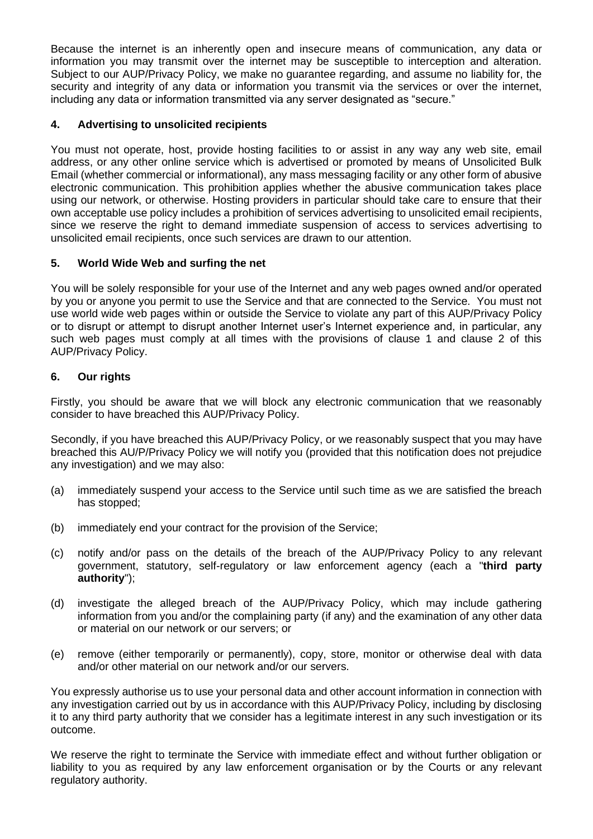Because the internet is an inherently open and insecure means of communication, any data or information you may transmit over the internet may be susceptible to interception and alteration. Subject to our AUP/Privacy Policy, we make no guarantee regarding, and assume no liability for, the security and integrity of any data or information you transmit via the services or over the internet, including any data or information transmitted via any server designated as "secure."

## **4. Advertising to unsolicited recipients**

You must not operate, host, provide hosting facilities to or assist in any way any web site, email address, or any other online service which is advertised or promoted by means of Unsolicited Bulk Email (whether commercial or informational), any mass messaging facility or any other form of abusive electronic communication. This prohibition applies whether the abusive communication takes place using our network, or otherwise. Hosting providers in particular should take care to ensure that their own acceptable use policy includes a prohibition of services advertising to unsolicited email recipients, since we reserve the right to demand immediate suspension of access to services advertising to unsolicited email recipients, once such services are drawn to our attention.

## **5. World Wide Web and surfing the net**

You will be solely responsible for your use of the Internet and any web pages owned and/or operated by you or anyone you permit to use the Service and that are connected to the Service. You must not use world wide web pages within or outside the Service to violate any part of this AUP/Privacy Policy or to disrupt or attempt to disrupt another Internet user's Internet experience and, in particular, any such web pages must comply at all times with the provisions of clause 1 and clause 2 of this AUP/Privacy Policy.

## **6. Our rights**

Firstly, you should be aware that we will block any electronic communication that we reasonably consider to have breached this AUP/Privacy Policy.

Secondly, if you have breached this AUP/Privacy Policy, or we reasonably suspect that you may have breached this AU/P/Privacy Policy we will notify you (provided that this notification does not prejudice any investigation) and we may also:

- (a) immediately suspend your access to the Service until such time as we are satisfied the breach has stopped;
- (b) immediately end your contract for the provision of the Service;
- (c) notify and/or pass on the details of the breach of the AUP/Privacy Policy to any relevant government, statutory, self-regulatory or law enforcement agency (each a "**third party authority**");
- (d) investigate the alleged breach of the AUP/Privacy Policy, which may include gathering information from you and/or the complaining party (if any) and the examination of any other data or material on our network or our servers; or
- (e) remove (either temporarily or permanently), copy, store, monitor or otherwise deal with data and/or other material on our network and/or our servers.

You expressly authorise us to use your personal data and other account information in connection with any investigation carried out by us in accordance with this AUP/Privacy Policy, including by disclosing it to any third party authority that we consider has a legitimate interest in any such investigation or its outcome.

We reserve the right to terminate the Service with immediate effect and without further obligation or liability to you as required by any law enforcement organisation or by the Courts or any relevant regulatory authority.